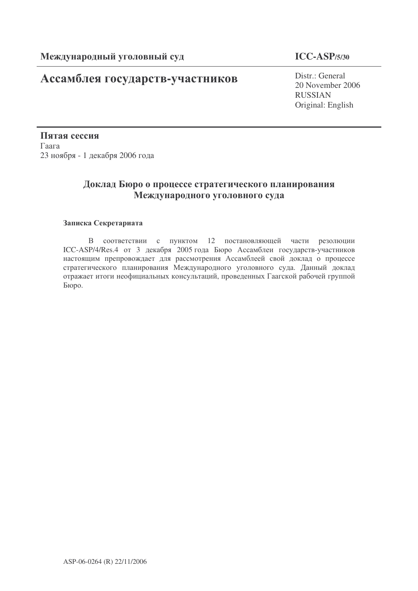# **Ассамблея государств-участников** Distr.: General

### **ICC-ASP/5/30**

20 November 2006 RUSSIAN Original: English

Пятая сессия  $\Gamma$ аага 23 ноября - 1 декабря 2006 года

## Доклад Бюро о процессе стратегического планирования Международного уголовного суда

### Записка Секретариата

В соответствии с пунктом 12 постановляющей части резолюции ICC-ASP/4/Res.4 от 3 декабря 2005 года Бюро Ассамблеи государств-участников настоящим препровождает для рассмотрения Ассамблеей свой доклад о процессе стратегического планирования Международного уголовного суда. Данный доклад отражает итоги неофициальных консультаций, проведенных Гаагской рабочей группой Бюро.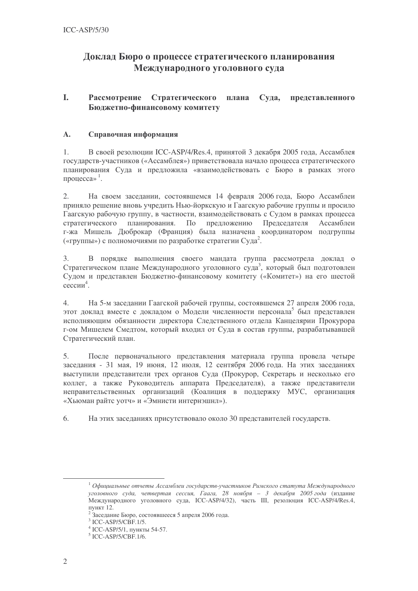### Доклад Бюро о процессе стратегического планирования Международного уголовного суда

#### L Рассмотрение Стратегического плана Суда, представленного Бюджетно-финансовому комитету

#### $\mathbf{A}$ . Справочная информация

В своей резолюции ICC-ASP/4/Res.4, принятой 3 лекабря 2005 года, Ассамблея  $1<sub>1</sub>$ государств-участников («Ассамблея») приветствовала начало процесса стратегического планирования Суда и предложила «взаимодействовать с Бюро в рамках этого процесса»<sup>1</sup>.

 $2.$ На своем заседании, состоявшемся 14 февраля 2006 года, Бюро Ассамблеи приняло решение вновь учредить Нью-йоркскую и Гаагскую рабочие группы и просило Гаагскую рабочую группу, в частности, взаимодействовать с Судом в рамках процесса планирования. По стратегического предложению Председателя Ассамблеи г-жа Мишель Дюброкар (Франция) была назначена координатором подгруппы («группы») с полномочиями по разработке стратегии Суда<sup>2</sup>.

В порядке выполнения своего мандата группа рассмотрела доклад о  $\mathcal{Z}$ Стратегическом плане Международного уголовного суда<sup>3</sup>, который был подготовлен Судом и представлен Бюджетно-финансовому комитету («Комитет») на его шестой сессии<sup>4</sup>.

 $\overline{4}$ . На 5-м заседании Гаагской рабочей группы, состоявшемся 27 апреля 2006 года, этот доклад вместе с докладом о Модели численности персонала<sup>5</sup> был представлен исполняющим обязанности директора Следственного отдела Канцелярии Прокурора г-ом Мишелем Смедтом, который входил от Суда в состав группы, разрабатывавшей Стратегический план.

После первоначального представления материала группа провела четыре 5. заседания - 31 мая, 19 июня, 12 июля, 12 сентября 2006 года. На этих заседаниях выступили представители трех органов Суда (Прокурор, Секретарь и несколько его коллег, а также Руководитель аппарата Председателя), а также представители неправительственных организаций (Коалиция в поддержку МУС, организация «Хьюман райтс уотч» и «Эмнисти интернэшнл»).

6. На этих заседаниях присутствовало около 30 представителей государств.

 $^{-1}$  Официальные отчеты Ассамблеи государств-участников Римского статута Международного уголовного суда, четвертая сессия, Гаага, 28 ноября - 3 декабря 2005 года (издание Международного уголовного суда, ICC-ASP/4/32), часть III, резолюция ICC-ASP/4/Res.4, пункт 12.

<sup>&</sup>lt;sup>2</sup> Заседание Бюро, состоявшееся 5 апреля 2006 года.

 $3$  ICC-ASP/5/CBF.1/5.

<sup>&</sup>lt;sup>4</sup> ICC-ASP/5/1, пункты 54-57.

 $5$  ICC-ASP/5/CBF.1/6.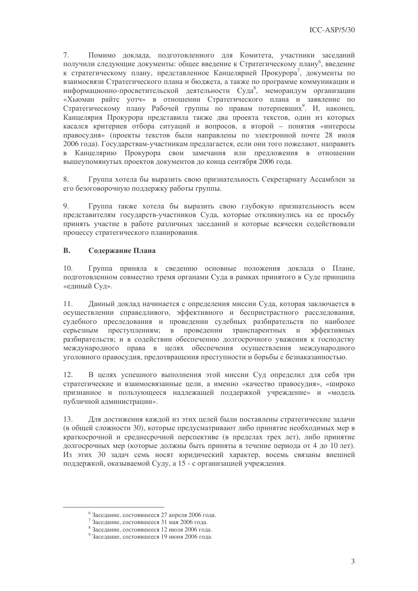7. Помимо доклада, подготовленного для Комитета, участники заседаний получили следующие документы: общее введение к Стратегическому плану<sup>6</sup>, введение к стратегическому плану, представленное Канцелярией Прокурора', документы по взаимосвязи Стратегического плана и бюджета, а также по программе коммуникации и информационно-просветительской деятельности Суда<sup>8</sup>, меморандум организации «Хьюман райтс уотч» в отношении Стратегического плана и заявление по Стратегическому плану Рабочей группы по правам потерпевших<sup>9</sup>. И, наконец, Канцелярия Прокурора представила также два проекта текстов, один из которых касался критериев отбора ситуаций и вопросов, а второй - понятия «интересы правосудия» (проекты текстов были направлены по электронной почте 28 июля 2006 года). Государствам-участникам предлагается, если они того пожелают, направить в Канцелярию Прокурора свои замечания или предложения в отношении вышеупомянутых проектов документов до конца сентября 2006 года.

8. Группа хотела бы выразить свою признательность Секретариату Ассамблеи за его безоговорочную поддержку работы группы.

Группа также хотела бы выразить свою глубокую признательность всем  $9<sub>1</sub>$ представителям государств-участников Суда, которые откликнулись на ее просьбу принять участие в работе различных заседаний и которые всячески содействовали процессу стратегического планирования.

#### **B.** Содержание Плана

 $10<sup>-1</sup>$ Группа приняла к сведению основные положения доклада о Плане, подготовленном совместно тремя органами Суда в рамках принятого в Суде принципа «единый Суд».

Данный доклад начинается с определения миссии Суда, которая заключается в  $11.$ осуществлении справедливого, эффективного и беспристрастного расследования, судебного преследования и проведении судебных разбирательств по наиболее серьезным преступлениям; в проведении транспарентных и эффективных разбирательств; и в содействии обеспечению долгосрочного уважения к господству международного права в целях обеспечения осуществления международного уголовного правосудия, предотвращения преступности и борьбы с безнаказанностью.

В целях успешного выполнения этой миссии Суд определил для себя три 12. стратегические и взаимосвязанные цели, а именно «качество правосудия», «широко признанное и пользующееся надлежащей поддержкой учреждение» и «модель публичной администрации».

Для достижения каждой из этих целей были поставлены стратегические задачи 13. (в общей сложности 30), которые предусматривают либо принятие необходимых мер в краткосрочной и среднесрочной перспективе (в пределах трех лет), либо принятие долгосрочных мер (которые должны быть приняты в течение периода от 4 до 10 лет). Из этих 30 задач семь носят юридический характер, восемь связаны внешней поддержкой, оказываемой Суду, а 15 - с организацией учреждения.

 $6$ Заседание, состоявшееся 27 апреля 2006 года.

 $7$ Заседание, состоявшееся 31 мая 2006 года.

<sup>&</sup>lt;sup>8</sup> Заседание, состоявшееся 12 июля 2006 года.

<sup>&</sup>lt;sup>9</sup> Заселание, состоявшееся 19 июня 2006 года.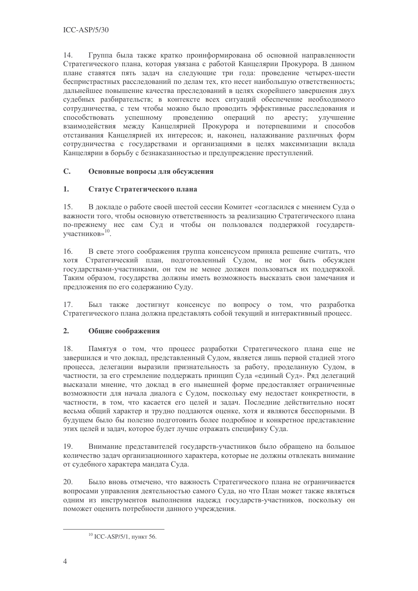Группа была также кратко проинформирована об основной направленности 14. Стратегического плана, которая увязана с работой Канцелярии Прокурора. В данном плане ставятся пять задач на следующие три года: проведение четырех-шести беспристрастных расследований по делам тех, кто несет наибольшую ответственность; дальнейшее повышение качества преследований в целях скорейшего завершения двух судебных разбирательств; в контексте всех ситуаций обеспечение необходимого сотрудничества, с тем чтобы можно было проводить эффективные расследования и способствовать успешному проведению операций по аресту; улучшение взаимодействия между Канцелярией Прокурора и потерпевшими и способов отстаивания Канцелярией их интересов; и, наконец, налаживание различных форм сотрудничества с государствами и организациями в целях максимизации вклада Канцелярии в борьбу с безнаказанностью и предупреждение преступлений.

#### $C_{\alpha}$ Основные вопросы для обсуждения

#### $1.$ Статус Стратегического плана

 $15.$ В докладе о работе своей шестой сессии Комитет «согласился с мнением Суда о важности того, чтобы основную ответственность за реализацию Стратегического плана по-прежнему нес сам Суд и чтобы он пользовался поддержкой государств-<br>участников»<sup>10</sup>.

В свете этого соображения группа консенсусом приняла решение считать, что  $16<sup>1</sup>$ **RTOX** Стратегический план, подготовленный Судом, не мог быть обсужден государствами-участниками, он тем не менее должен пользоваться их поддержкой. Таким образом, государства должны иметь возможность высказать свои замечания и предложения по его содержанию Суду.

 $17.$ Был также лостигнут консенсус по вопросу о том, что разработка Стратегического плана должна представлять собой текущий и интерактивный процесс.

#### $2.$ Общие соображения

Памятуя о том, что процесс разработки Стратегического плана еще не 18. завершился и что доклад, представленный Судом, является лишь первой стадией этого процесса, делегации выразили признательность за работу, проделанную Судом, в частности, за его стремление поддержать принцип Суда «единый Суд». Ряд делегаций высказали мнение, что доклад в его нынешней форме предоставляет ограниченные возможности для начала диалога с Судом, поскольку ему недостает конкретности, в частности, в том, что касается его целей и задач. Последние действительно носят весьма общий характер и трудно поддаются оценке, хотя и являются бесспорными. В будущем было бы полезно подготовить более подробное и конкретное представление этих целей и задач, которое будет лучше отражать специфику Суда.

 $19<sub>1</sub>$ Внимание представителей государств-участников было обращено на большое количество задач организационного характера, которые не должны отвлекать внимание от судебного характера мандата Суда.

20. Было вновь отмечено, что важность Стратегического плана не ограничивается вопросами управления деятельностью самого Суда, но что План может также являться одним из инструментов выполнения надежд государств-участников, поскольку он поможет оценить потребности данного учреждения.

 $10$  ICC-ASP/5/1, пункт 56.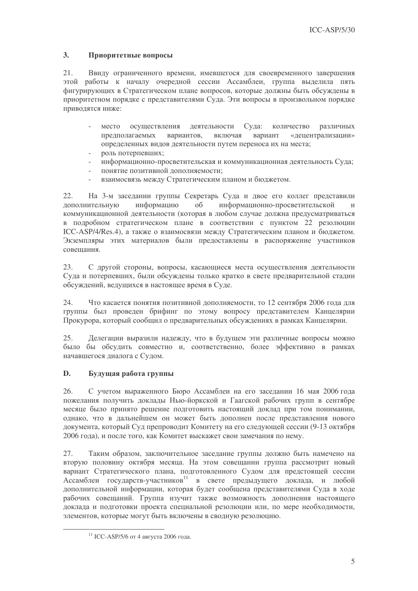#### $3.$ Приоритетные вопросы

 $21.$ Ввиду ограниченного времени, имевшегося для своевременного завершения этой работы к началу очередной сессии Ассамблеи, группа выделила пять фигурирующих в Стратегическом плане вопросов, которые должны быть обсуждены в приоритетном порядке с представителями Суда. Эти вопросы в произвольном порядке приводятся ниже:

- место осуществления деятельности Суда: количество различных вариантов, предполагаемых включая вариант «децентрализации» определенных видов деятельности путем переноса их на места;
- роль потерпевших;
- информационно-просветительская и коммуникационная деятельность Суда;
- понятие позитивной дополняемости;
- взаимосвязь между Стратегическим планом и бюджетом.

 $22.$ На 3-м заседании группы Секретарь Суда и двое его коллег представили лополнительную информацию  $0<sup>6</sup>$ информационно-просветительской  $\overline{M}$ коммуникационной деятельности (которая в любом случае должна предусматриваться в подробном стратегическом плане в соответствии с пунктом 22 резолюции ICC-ASP/4/Res.4), а также о взаимосвязи между Стратегическим планом и бюджетом. Экземпляры этих материалов были предоставлены в распоряжение участников совешания.

С другой стороны, вопросы, касающиеся места осуществления деятельности 23. Суда и потерпевших, были обсуждены только кратко в свете предварительной стадии обсуждений, ведущихся в настоящее время в Суде.

24. Что касается понятия позитивной дополняемости, то 12 сентября 2006 года для группы был проведен брифинг по этому вопросу представителем Канцелярии Прокурора, который сообщил о предварительных обсуждениях в рамках Канцелярии.

25. Делегации выразили надежду, что в будущем эти различные вопросы можно было бы обсудить совместно и, соответственно, более эффективно в рамках начавшегося диалога с Судом.

#### $\mathbf{D}$ . Будущая работа группы

С учетом выраженного Бюро Ассамблеи на его заселании 16 мая 2006 года  $26.$ пожелания получить доклалы Нью-йоркской и Гаагской рабочих групп в сентябре месяце было принято решение подготовить настоящий доклад при том понимании, однако, что в дальнейшем он может быть дополнен после представления нового документа, который Суд препроводит Комитету на его следующей сессии (9-13 октября 2006 года), и после того, как Комитет выскажет свои замечания по нему.

27. Таким образом, заключительное заселание группы должно быть намечено на вторую половину октября месяца. На этом совещании группа рассмотрит новый вариант Стратегического плана, подготовленного Судом для предстоящей сессии Ассамблеи государств-участников<sup>11</sup> в свете предыдущего доклада, и любой дополнительной информации, которая будет сообщена представителями Суда в ходе рабочих совещаний. Группа изучит также возможность дополнения настоящего доклада и подготовки проекта специальной резолюции или, по мере необходимости, элементов, которые могут быть включены в сводную резолюцию.

<sup>&</sup>lt;sup>11</sup> ICC-ASP/5/6 от 4 августа 2006 года.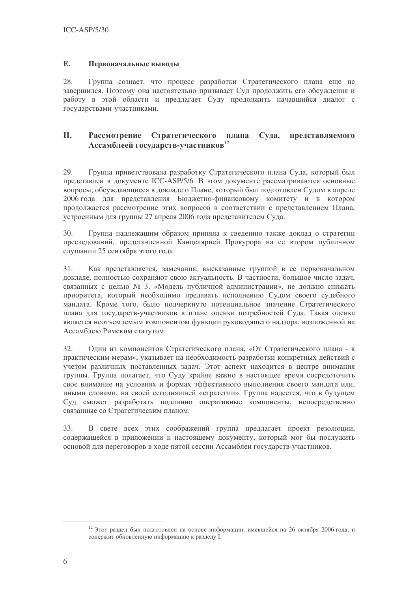#### E. Первоначальные выводы

28. Группа сознает, что процесс разработки Стратегического плана еще не завершился. Поэтому она настоятельно призывает Суд продолжить его обсуждения и работу в этой области и предлагает Суду продолжить начавшийся диалог с государствами-участниками.

#### II. Рассмотрение Стратегического плана Суда, представляемого Ассамблеей государств-участников<sup>12</sup>

Группа приветствовала разработку Стратегического плана Суда, который был 29. представлен в документе ICC-ASP/5/6. В этом документе рассматриваются основные вопросы, обсуждающиеся в докладе о Плане, который был подготовлен Судом в апреле 2006 года для представления Бюджетно-финансовому комитету и в котором продолжается рассмотрение этих вопросов в соответствии с представлением Плана, устроенным для группы 27 апреля 2006 года представителем Суда.

30. Группа надлежащим образом приняла к сведению также доклад о стратегии преследований, представленной Канцелярией Прокурора на ее втором публичном слушании 25 сентября этого года.

 $31.$ Как представляется, замечания, высказанные группой в ее первоначальном докладе, полностью сохраняют свою актуальность. В частности, большое число задач, связанных с целью № 3, «Модель публичной администрации», не должно снижать приоритета, который необходимо предавать исполнению Судом своего судебного мандата. Кроме того, было подчеркнуто потенциальное значение Стратегического плана для государств-участников в плане оценки потребностей Суда. Такая оценка является неотъемлемым компонентом функции руководящего надзора, возложенной на Ассамблею Римским статутом.

32. Один из компонентов Стратегического плана, «От Стратегического плана - к практическим мерам», указывает на необходимость разработки конкретных действий с учетом различных поставленных задач. Этот аспект находится в центре внимания группы. Группа полагает, что Суду крайне важно в настоящее время сосредоточить свое внимание на условиях и формах эффективного выполнения своего мандата или, иными словами, на своей сегодняшней «стратегии». Группа надеется, что в будущем Суд сможет разработать подлинно оперативные компоненты, непосредственно связанные со Стратегическим планом.

33. В свете всех этих соображений группа предлагает проект резолюции, содержащейся в приложении к настоящему документу, который мог бы послужить основой для переговоров в ходе пятой сессии Ассамблеи государств-участников.

<sup>&</sup>lt;sup>12</sup> Этот раздел был подготовлен на основе информации, имевшейся на 26 октября 2006 года, и содержит обновленную информацию к разделу I.